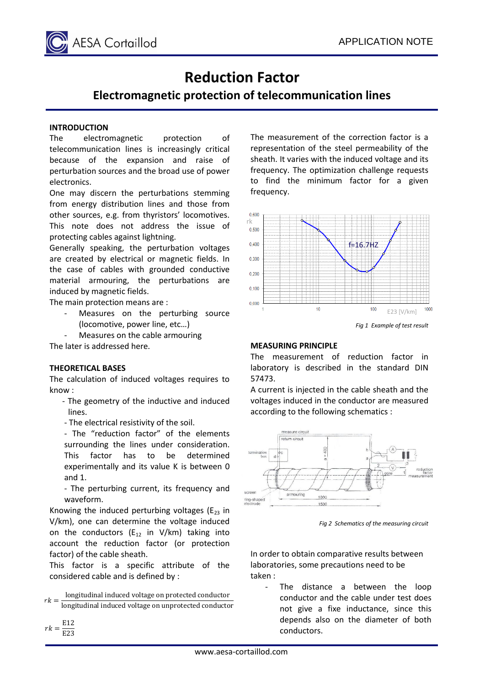

# **Reduction Factor**

## **Electromagnetic protection of telecommunication lines**

#### **INTRODUCTION**

The electromagnetic protection of telecommunication lines is increasingly critical because of the expansion and raise of perturbation sources and the broad use of power electronics.

One may discern the perturbations stemming from energy distribution lines and those from other sources, e.g. from thyristors' locomotives. This note does not address the issue of protecting cables against lightning.

Generally speaking, the perturbation voltages are created by electrical or magnetic fields. In the case of cables with grounded conductive material armouring, the perturbations are induced by magnetic fields.

The main protection means are :

Measures on the perturbing source (locomotive, power line, etc…)

Measures on the cable armouring The later is addressed here.

#### **THEORETICAL BASES**

The calculation of induced voltages requires to know :

- The geometry of the inductive and induced lines.
- The electrical resistivity of the soil.

- The "reduction factor" of the elements surrounding the lines under consideration. This factor has to be determined experimentally and its value K is between 0 and 1.

- The perturbing current, its frequency and waveform.

Knowing the induced perturbing voltages ( $E_{23}$  in V/km), one can determine the voltage induced on the conductors  $(E_{12}$  in V/km) taking into account the reduction factor (or protection factor) of the cable sheath.

This factor is a specific attribute of the considered cable and is defined by :

 $rk =$ longitudinal induced voltage on protected conductor longitudinal induced voltage on unprotected conductor

The measurement of the correction factor is a representation of the steel permeability of the sheath. It varies with the induced voltage and its frequency. The optimization challenge requests to find the minimum factor for a given frequency.



### **MEASURING PRINCIPLE**

The measurement of reduction factor in laboratory is described in the standard DIN 57473.

A current is injected in the cable sheath and the voltages induced in the conductor are measured according to the following schematics :



*Fig 2 Schematics of the measuring circuit*

In order to obtain comparative results between laboratories, some precautions need to be taken :

The distance a between the loop conductor and the cable under test does not give a fixe inductance, since this depends also on the diameter of both conductors.

 $rk = \frac{E12}{E22}$ E23